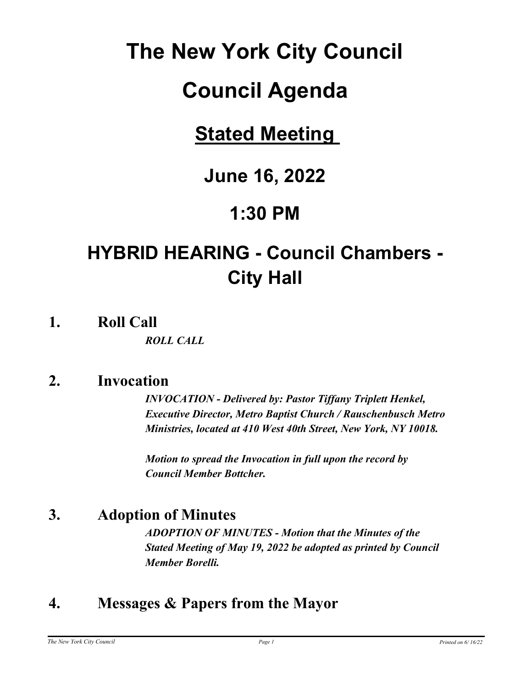# **The New York City Council**

# **Council Agenda**

# **Stated Meeting**

# **June 16, 2022**

# **1:30 PM**

# **HYBRID HEARING - Council Chambers - City Hall**

**1. Roll Call**

*ROLL CALL*

## **2. Invocation**

*INVOCATION - Delivered by: Pastor Tiffany Triplett Henkel, Executive Director, Metro Baptist Church / Rauschenbusch Metro Ministries, located at 410 West 40th Street, New York, NY 10018.*

*Motion to spread the Invocation in full upon the record by Council Member Bottcher.*

## **3. Adoption of Minutes**

*ADOPTION OF MINUTES - Motion that the Minutes of the Stated Meeting of May 19, 2022 be adopted as printed by Council Member Borelli.*

# **4. Messages & Papers from the Mayor**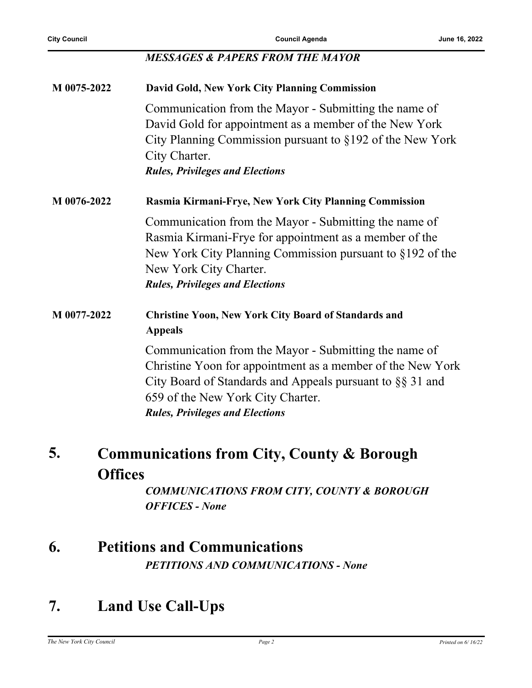#### *MESSAGES & PAPERS FROM THE MAYOR*

| M 0075-2022                 | David Gold, New York City Planning Commission                                                                                                                                                                                                                       |
|-----------------------------|---------------------------------------------------------------------------------------------------------------------------------------------------------------------------------------------------------------------------------------------------------------------|
|                             | Communication from the Mayor - Submitting the name of<br>David Gold for appointment as a member of the New York<br>City Planning Commission pursuant to §192 of the New York<br>City Charter.<br><b>Rules, Privileges and Elections</b>                             |
| M 0076-2022                 | Rasmia Kirmani-Frye, New York City Planning Commission                                                                                                                                                                                                              |
|                             | Communication from the Mayor - Submitting the name of<br>Rasmia Kirmani-Frye for appointment as a member of the<br>New York City Planning Commission pursuant to §192 of the<br>New York City Charter.<br><b>Rules, Privileges and Elections</b>                    |
| M 0077-2022                 | <b>Christine Yoon, New York City Board of Standards and</b><br><b>Appeals</b>                                                                                                                                                                                       |
|                             | Communication from the Mayor - Submitting the name of<br>Christine Yoon for appointment as a member of the New York<br>City Board of Standards and Appeals pursuant to $\S\S 31$ and<br>659 of the New York City Charter.<br><b>Rules, Privileges and Elections</b> |
| 5.<br>$\boldsymbol{\Omega}$ | <b>Communications from City, County &amp; Borough</b>                                                                                                                                                                                                               |

#### **Offices**

*COMMUNICATIONS FROM CITY, COUNTY & BOROUGH OFFICES - None*

## **6. Petitions and Communications**

*PETITIONS AND COMMUNICATIONS - None*

## **7. Land Use Call-Ups**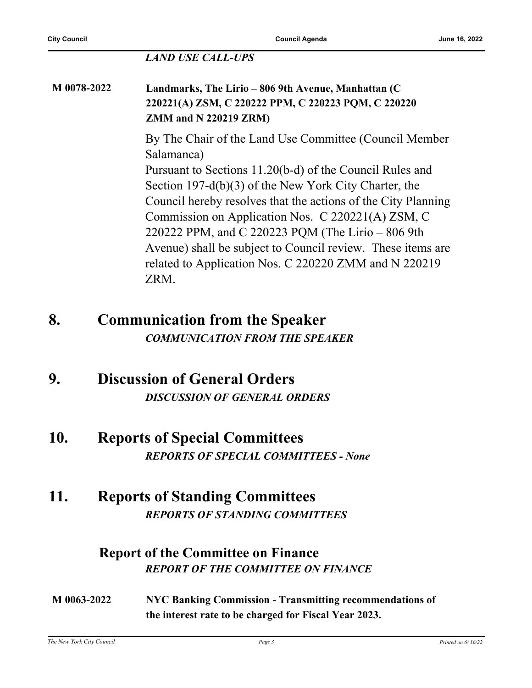#### *LAND USE CALL-UPS*

#### **M 0078-2022 Landmarks, The Lirio – 806 9th Avenue, Manhattan (C 220221(A) ZSM, C 220222 PPM, C 220223 PQM, C 220220 ZMM and N 220219 ZRM)**

By The Chair of the Land Use Committee (Council Member Salamanca)

Pursuant to Sections 11.20(b-d) of the Council Rules and Section 197-d(b)(3) of the New York City Charter, the Council hereby resolves that the actions of the City Planning Commission on Application Nos. C 220221(A) ZSM, C 220222 PPM, and C 220223 PQM (The Lirio – 806 9th Avenue) shall be subject to Council review. These items are related to Application Nos. C 220220 ZMM and N 220219 ZRM.

## **8. Communication from the Speaker** *COMMUNICATION FROM THE SPEAKER*

## **9. Discussion of General Orders** *DISCUSSION OF GENERAL ORDERS*

**10. Reports of Special Committees** *REPORTS OF SPECIAL COMMITTEES - None*

## **11. Reports of Standing Committees** *REPORTS OF STANDING COMMITTEES*

### **Report of the Committee on Finance** *REPORT OF THE COMMITTEE ON FINANCE*

**M 0063-2022 NYC Banking Commission - Transmitting recommendations of the interest rate to be charged for Fiscal Year 2023.**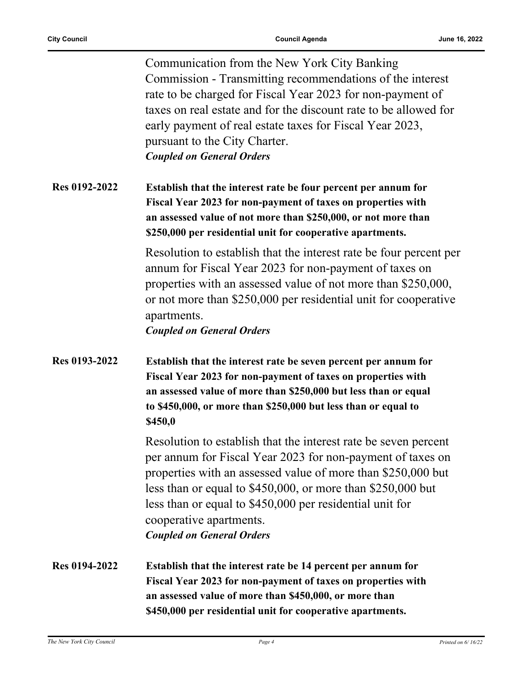|               | Communication from the New York City Banking<br>Commission - Transmitting recommendations of the interest<br>rate to be charged for Fiscal Year 2023 for non-payment of<br>taxes on real estate and for the discount rate to be allowed for<br>early payment of real estate taxes for Fiscal Year 2023,<br>pursuant to the City Charter.<br><b>Coupled on General Orders</b>               |
|---------------|--------------------------------------------------------------------------------------------------------------------------------------------------------------------------------------------------------------------------------------------------------------------------------------------------------------------------------------------------------------------------------------------|
| Res 0192-2022 | Establish that the interest rate be four percent per annum for<br>Fiscal Year 2023 for non-payment of taxes on properties with<br>an assessed value of not more than \$250,000, or not more than<br>\$250,000 per residential unit for cooperative apartments.                                                                                                                             |
|               | Resolution to establish that the interest rate be four percent per<br>annum for Fiscal Year 2023 for non-payment of taxes on<br>properties with an assessed value of not more than \$250,000,<br>or not more than \$250,000 per residential unit for cooperative<br>apartments.<br><b>Coupled on General Orders</b>                                                                        |
| Res 0193-2022 | Establish that the interest rate be seven percent per annum for<br>Fiscal Year 2023 for non-payment of taxes on properties with<br>an assessed value of more than \$250,000 but less than or equal<br>to \$450,000, or more than \$250,000 but less than or equal to<br>\$450,0                                                                                                            |
|               | Resolution to establish that the interest rate be seven percent<br>per annum for Fiscal Year 2023 for non-payment of taxes on<br>properties with an assessed value of more than \$250,000 but<br>less than or equal to $$450,000$ , or more than $$250,000$ but<br>less than or equal to \$450,000 per residential unit for<br>cooperative apartments.<br><b>Coupled on General Orders</b> |
| Res 0194-2022 | Establish that the interest rate be 14 percent per annum for<br>Fiscal Year 2023 for non-payment of taxes on properties with<br>an assessed value of more than \$450,000, or more than                                                                                                                                                                                                     |

**\$450,000 per residential unit for cooperative apartments.**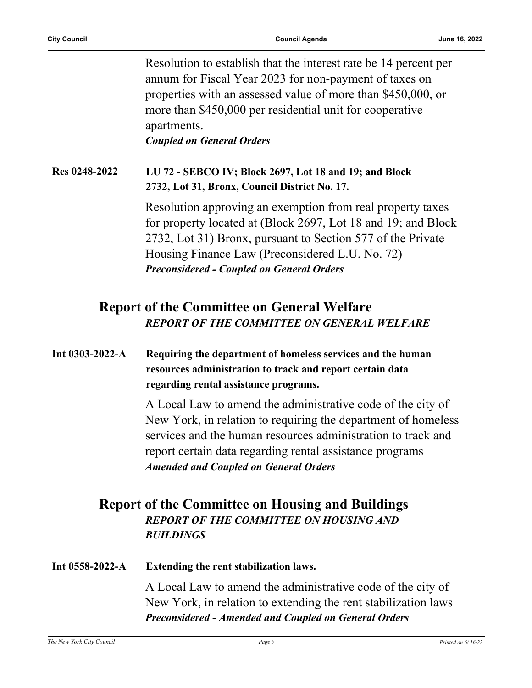Resolution to establish that the interest rate be 14 percent per annum for Fiscal Year 2023 for non-payment of taxes on properties with an assessed value of more than \$450,000, or more than \$450,000 per residential unit for cooperative apartments.

*Coupled on General Orders*

#### **Res 0248-2022 LU 72 - SEBCO IV; Block 2697, Lot 18 and 19; and Block 2732, Lot 31, Bronx, Council District No. 17.**

Resolution approving an exemption from real property taxes for property located at (Block 2697, Lot 18 and 19; and Block 2732, Lot 31) Bronx, pursuant to Section 577 of the Private Housing Finance Law (Preconsidered L.U. No. 72) *Preconsidered - Coupled on General Orders*

## **Report of the Committee on General Welfare** *REPORT OF THE COMMITTEE ON GENERAL WELFARE*

#### **Int 0303-2022-A Requiring the department of homeless services and the human resources administration to track and report certain data regarding rental assistance programs.**

A Local Law to amend the administrative code of the city of New York, in relation to requiring the department of homeless services and the human resources administration to track and report certain data regarding rental assistance programs *Amended and Coupled on General Orders*

### **Report of the Committee on Housing and Buildings** *REPORT OF THE COMMITTEE ON HOUSING AND BUILDINGS*

#### **Int 0558-2022-A Extending the rent stabilization laws.**

A Local Law to amend the administrative code of the city of New York, in relation to extending the rent stabilization laws *Preconsidered - Amended and Coupled on General Orders*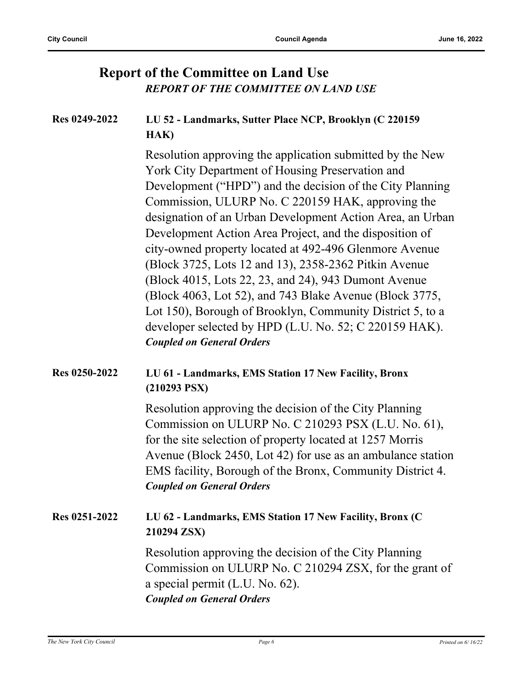### **Report of the Committee on Land Use** *REPORT OF THE COMMITTEE ON LAND USE*

#### **Res 0249-2022 LU 52 - Landmarks, Sutter Place NCP, Brooklyn (C 220159 HAK)**

Resolution approving the application submitted by the New York City Department of Housing Preservation and Development ("HPD") and the decision of the City Planning Commission, ULURP No. C 220159 HAK, approving the designation of an Urban Development Action Area, an Urban Development Action Area Project, and the disposition of city-owned property located at 492-496 Glenmore Avenue (Block 3725, Lots 12 and 13), 2358-2362 Pitkin Avenue (Block 4015, Lots 22, 23, and 24), 943 Dumont Avenue (Block 4063, Lot 52), and 743 Blake Avenue (Block 3775, Lot 150), Borough of Brooklyn, Community District 5, to a developer selected by HPD (L.U. No. 52; C 220159 HAK). *Coupled on General Orders*

#### **Res 0250-2022 LU 61 - Landmarks, EMS Station 17 New Facility, Bronx (210293 PSX)**

Resolution approving the decision of the City Planning Commission on ULURP No. C 210293 PSX (L.U. No. 61), for the site selection of property located at 1257 Morris Avenue (Block 2450, Lot 42) for use as an ambulance station EMS facility, Borough of the Bronx, Community District 4. *Coupled on General Orders*

#### **Res 0251-2022 LU 62 - Landmarks, EMS Station 17 New Facility, Bronx (C 210294 ZSX)**

Resolution approving the decision of the City Planning Commission on ULURP No. C 210294 ZSX, for the grant of a special permit (L.U. No. 62). *Coupled on General Orders*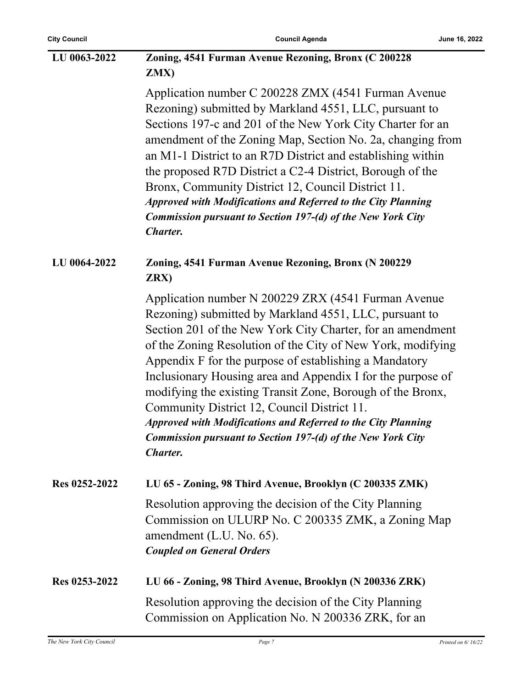| LU 0063-2022  | Zoning, 4541 Furman Avenue Rezoning, Bronx (C 200228<br>ZMX)                                                                                                                                                                                                                                                                                                                                                                                                                                                                                                                                                                                      |
|---------------|---------------------------------------------------------------------------------------------------------------------------------------------------------------------------------------------------------------------------------------------------------------------------------------------------------------------------------------------------------------------------------------------------------------------------------------------------------------------------------------------------------------------------------------------------------------------------------------------------------------------------------------------------|
|               | Application number C 200228 ZMX (4541 Furman Avenue<br>Rezoning) submitted by Markland 4551, LLC, pursuant to<br>Sections 197-c and 201 of the New York City Charter for an<br>amendment of the Zoning Map, Section No. 2a, changing from<br>an M1-1 District to an R7D District and establishing within<br>the proposed R7D District a C2-4 District, Borough of the<br>Bronx, Community District 12, Council District 11.<br><b>Approved with Modifications and Referred to the City Planning</b><br><b>Commission pursuant to Section 197-(d) of the New York City</b><br><b>Charter.</b>                                                      |
| LU 0064-2022  | Zoning, 4541 Furman Avenue Rezoning, Bronx (N 200229<br>ZRX)                                                                                                                                                                                                                                                                                                                                                                                                                                                                                                                                                                                      |
|               | Application number N 200229 ZRX (4541 Furman Avenue<br>Rezoning) submitted by Markland 4551, LLC, pursuant to<br>Section 201 of the New York City Charter, for an amendment<br>of the Zoning Resolution of the City of New York, modifying<br>Appendix F for the purpose of establishing a Mandatory<br>Inclusionary Housing area and Appendix I for the purpose of<br>modifying the existing Transit Zone, Borough of the Bronx,<br>Community District 12, Council District 11.<br><b>Approved with Modifications and Referred to the City Planning</b><br><b>Commission pursuant to Section 197-(d) of the New York City</b><br><b>Charter.</b> |
| Res 0252-2022 | LU 65 - Zoning, 98 Third Avenue, Brooklyn (C 200335 ZMK)                                                                                                                                                                                                                                                                                                                                                                                                                                                                                                                                                                                          |
|               | Resolution approving the decision of the City Planning<br>Commission on ULURP No. C 200335 ZMK, a Zoning Map<br>amendment (L.U. No. 65).<br><b>Coupled on General Orders</b>                                                                                                                                                                                                                                                                                                                                                                                                                                                                      |
| Res 0253-2022 | LU 66 - Zoning, 98 Third Avenue, Brooklyn (N 200336 ZRK)                                                                                                                                                                                                                                                                                                                                                                                                                                                                                                                                                                                          |
|               | Resolution approving the decision of the City Planning<br>Commission on Application No. N 200336 ZRK, for an                                                                                                                                                                                                                                                                                                                                                                                                                                                                                                                                      |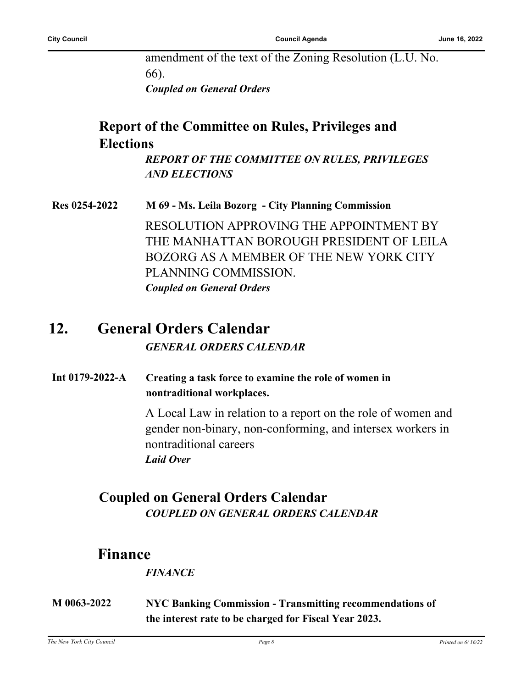amendment of the text of the Zoning Resolution (L.U. No. 66).

*Coupled on General Orders*

## **Report of the Committee on Rules, Privileges and Elections**

*REPORT OF THE COMMITTEE ON RULES, PRIVILEGES AND ELECTIONS*

**Res 0254-2022 M 69 - Ms. Leila Bozorg - City Planning Commission** RESOLUTION APPROVING THE APPOINTMENT BY THE MANHATTAN BOROUGH PRESIDENT OF LEILA BOZORG AS A MEMBER OF THE NEW YORK CITY PLANNING COMMISSION. *Coupled on General Orders*

## **12. General Orders Calendar** *GENERAL ORDERS CALENDAR*

**Int 0179-2022-A Creating a task force to examine the role of women in nontraditional workplaces.**

> A Local Law in relation to a report on the role of women and gender non-binary, non-conforming, and intersex workers in nontraditional careers *Laid Over*

### **Coupled on General Orders Calendar** *COUPLED ON GENERAL ORDERS CALENDAR*

## **Finance**

#### *FINANCE*

**M 0063-2022 NYC Banking Commission - Transmitting recommendations of the interest rate to be charged for Fiscal Year 2023.**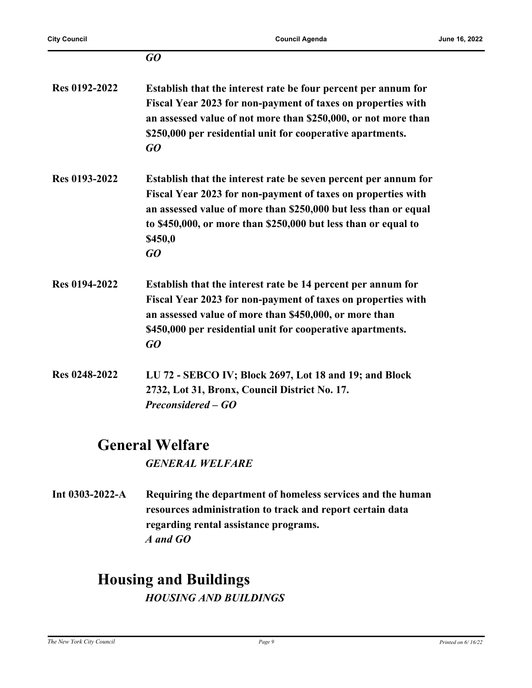|                      | $G$ O                                                                                                                                                                                                                                                                                 |
|----------------------|---------------------------------------------------------------------------------------------------------------------------------------------------------------------------------------------------------------------------------------------------------------------------------------|
| Res 0192-2022        | Establish that the interest rate be four percent per annum for<br>Fiscal Year 2023 for non-payment of taxes on properties with<br>an assessed value of not more than \$250,000, or not more than<br>\$250,000 per residential unit for cooperative apartments.<br>GO                  |
| Res 0193-2022        | Establish that the interest rate be seven percent per annum for<br>Fiscal Year 2023 for non-payment of taxes on properties with<br>an assessed value of more than \$250,000 but less than or equal<br>to \$450,000, or more than \$250,000 but less than or equal to<br>\$450,0<br>GQ |
| <b>Res 0194-2022</b> | Establish that the interest rate be 14 percent per annum for<br>Fiscal Year 2023 for non-payment of taxes on properties with<br>an assessed value of more than \$450,000, or more than<br>\$450,000 per residential unit for cooperative apartments.<br>GO                            |
| Res 0248-2022        | LU 72 - SEBCO IV; Block 2697, Lot 18 and 19; and Block<br>2732, Lot 31, Bronx, Council District No. 17.<br>Preconsidered – GO                                                                                                                                                         |

## **General Welfare**

*GENERAL WELFARE*

**Int 0303-2022-A Requiring the department of homeless services and the human resources administration to track and report certain data regarding rental assistance programs.** *A and GO*

## **Housing and Buildings** *HOUSING AND BUILDINGS*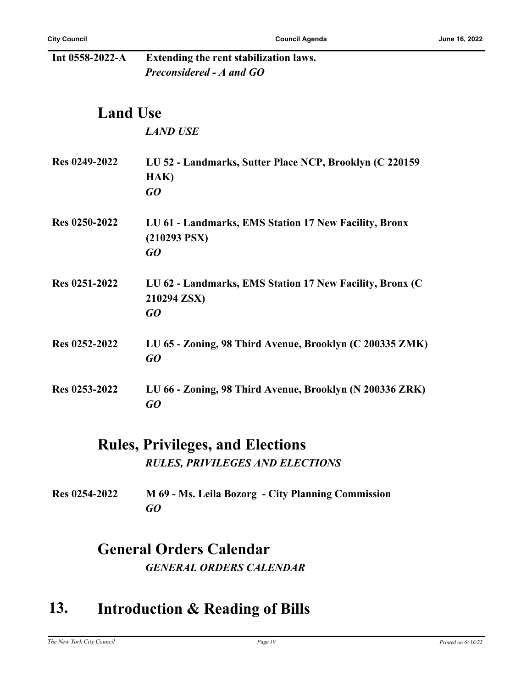| Int 0558-2022-A | Extending the rent stabilization laws.                                        |
|-----------------|-------------------------------------------------------------------------------|
|                 | Preconsidered - A and GO                                                      |
| <b>Land Use</b> |                                                                               |
|                 | <b>LAND USE</b>                                                               |
| Res 0249-2022   | LU 52 - Landmarks, Sutter Place NCP, Brooklyn (C 220159<br>HAK)<br>GQ         |
| Res 0250-2022   | LU 61 - Landmarks, EMS Station 17 New Facility, Bronx<br>$(210293$ PSX)<br>GQ |
| Res 0251-2022   | LU 62 - Landmarks, EMS Station 17 New Facility, Bronx (C<br>210294 ZSX)<br>GQ |
| Res 0252-2022   | LU 65 - Zoning, 98 Third Avenue, Brooklyn (C 200335 ZMK)<br>GQ                |
| Res 0253-2022   | LU 66 - Zoning, 98 Third Avenue, Brooklyn (N 200336 ZRK)<br>GO                |

## **Rules, Privileges, and Elections** *RULES, PRIVILEGES AND ELECTIONS*

**Res 0254-2022 M 69 - Ms. Leila Bozorg - City Planning Commission** *GO*

## **General Orders Calendar** *GENERAL ORDERS CALENDAR*

## **13. Introduction & Reading of Bills**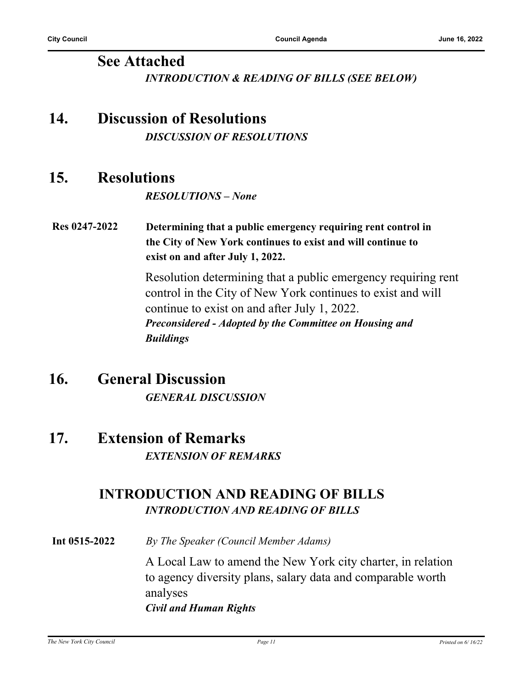#### **See Attached** *INTRODUCTION & READING OF BILLS (SEE BELOW)*

## **14. Discussion of Resolutions** *DISCUSSION OF RESOLUTIONS*

## **15. Resolutions**

*RESOLUTIONS – None*

**Res 0247-2022 Determining that a public emergency requiring rent control in the City of New York continues to exist and will continue to exist on and after July 1, 2022.**

> Resolution determining that a public emergency requiring rent control in the City of New York continues to exist and will continue to exist on and after July 1, 2022. *Preconsidered - Adopted by the Committee on Housing and Buildings*

## **16. General Discussion** *GENERAL DISCUSSION*

## **17. Extension of Remarks** *EXTENSION OF REMARKS*

### **INTRODUCTION AND READING OF BILLS** *INTRODUCTION AND READING OF BILLS*

**Int 0515-2022** *By The Speaker (Council Member Adams)*

A Local Law to amend the New York city charter, in relation to agency diversity plans, salary data and comparable worth analyses *Civil and Human Rights*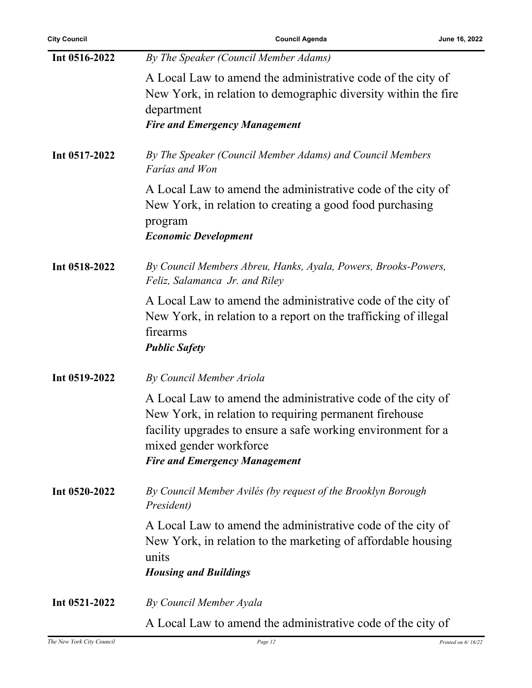| <b>City Council</b> | <b>Council Agenda</b>                                                                                                                                                                                                                                   | June 16, 2022 |
|---------------------|---------------------------------------------------------------------------------------------------------------------------------------------------------------------------------------------------------------------------------------------------------|---------------|
| Int 0516-2022       | By The Speaker (Council Member Adams)                                                                                                                                                                                                                   |               |
|                     | A Local Law to amend the administrative code of the city of<br>New York, in relation to demographic diversity within the fire<br>department<br><b>Fire and Emergency Management</b>                                                                     |               |
| Int 0517-2022       | By The Speaker (Council Member Adams) and Council Members<br>Farías and Won                                                                                                                                                                             |               |
|                     | A Local Law to amend the administrative code of the city of<br>New York, in relation to creating a good food purchasing<br>program<br><b>Economic Development</b>                                                                                       |               |
| Int 0518-2022       | By Council Members Abreu, Hanks, Ayala, Powers, Brooks-Powers,<br>Feliz, Salamanca Jr. and Riley                                                                                                                                                        |               |
|                     | A Local Law to amend the administrative code of the city of<br>New York, in relation to a report on the trafficking of illegal<br>firearms<br><b>Public Safety</b>                                                                                      |               |
| Int 0519-2022       | By Council Member Ariola                                                                                                                                                                                                                                |               |
|                     | A Local Law to amend the administrative code of the city of<br>New York, in relation to requiring permanent firehouse<br>facility upgrades to ensure a safe working environment for a<br>mixed gender workforce<br><b>Fire and Emergency Management</b> |               |
| Int 0520-2022       | By Council Member Avilés (by request of the Brooklyn Borough<br><i>President</i> )                                                                                                                                                                      |               |
|                     | A Local Law to amend the administrative code of the city of<br>New York, in relation to the marketing of affordable housing<br>units<br><b>Housing and Buildings</b>                                                                                    |               |
| Int 0521-2022       | By Council Member Ayala                                                                                                                                                                                                                                 |               |
|                     | A Local Law to amend the administrative code of the city of                                                                                                                                                                                             |               |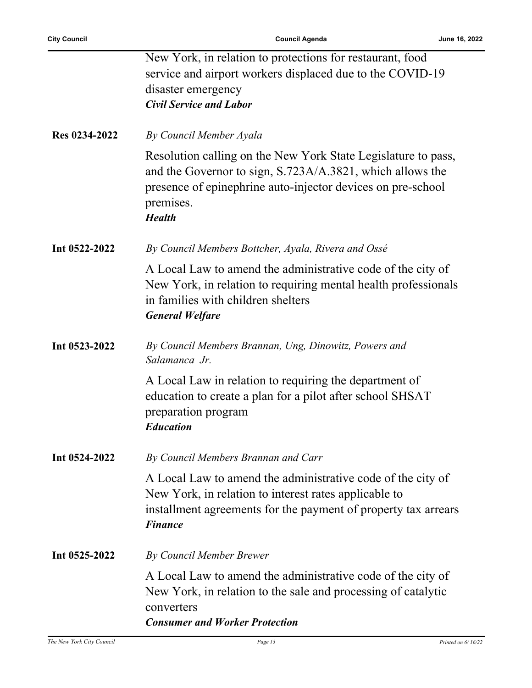|               | New York, in relation to protections for restaurant, food                                                                                                                                                               |
|---------------|-------------------------------------------------------------------------------------------------------------------------------------------------------------------------------------------------------------------------|
|               | service and airport workers displaced due to the COVID-19                                                                                                                                                               |
|               | disaster emergency                                                                                                                                                                                                      |
|               | <b>Civil Service and Labor</b>                                                                                                                                                                                          |
| Res 0234-2022 | By Council Member Ayala                                                                                                                                                                                                 |
|               | Resolution calling on the New York State Legislature to pass,<br>and the Governor to sign, S.723A/A.3821, which allows the<br>presence of epinephrine auto-injector devices on pre-school<br>premises.<br><b>Health</b> |
| Int 0522-2022 | By Council Members Bottcher, Ayala, Rivera and Ossé                                                                                                                                                                     |
|               | A Local Law to amend the administrative code of the city of<br>New York, in relation to requiring mental health professionals<br>in families with children shelters<br><b>General Welfare</b>                           |
| Int 0523-2022 | By Council Members Brannan, Ung, Dinowitz, Powers and<br>Salamanca Jr.                                                                                                                                                  |
|               | A Local Law in relation to requiring the department of<br>education to create a plan for a pilot after school SHSAT<br>preparation program<br><b>Education</b>                                                          |
| Int 0524-2022 | By Council Members Brannan and Carr                                                                                                                                                                                     |
|               | A Local Law to amend the administrative code of the city of<br>New York, in relation to interest rates applicable to<br>installment agreements for the payment of property tax arrears<br><b>Finance</b>                |
| Int 0525-2022 | By Council Member Brewer                                                                                                                                                                                                |
|               |                                                                                                                                                                                                                         |
|               |                                                                                                                                                                                                                         |
|               | converters                                                                                                                                                                                                              |
|               | <b>Consumer and Worker Protection</b>                                                                                                                                                                                   |
|               | A Local Law to amend the administrative code of the city of<br>New York, in relation to the sale and processing of catalytic                                                                                            |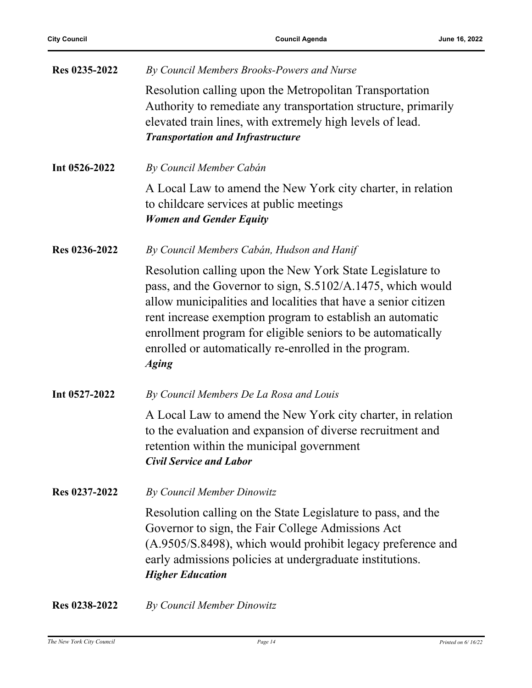| Res 0235-2022 | By Council Members Brooks-Powers and Nurse                                                                                                                                                                                                                                                                                                                                                     |
|---------------|------------------------------------------------------------------------------------------------------------------------------------------------------------------------------------------------------------------------------------------------------------------------------------------------------------------------------------------------------------------------------------------------|
|               | Resolution calling upon the Metropolitan Transportation<br>Authority to remediate any transportation structure, primarily<br>elevated train lines, with extremely high levels of lead.<br><b>Transportation and Infrastructure</b>                                                                                                                                                             |
| Int 0526-2022 | By Council Member Cabán                                                                                                                                                                                                                                                                                                                                                                        |
|               | A Local Law to amend the New York city charter, in relation<br>to childcare services at public meetings<br><b>Women and Gender Equity</b>                                                                                                                                                                                                                                                      |
| Res 0236-2022 | By Council Members Cabán, Hudson and Hanif                                                                                                                                                                                                                                                                                                                                                     |
|               | Resolution calling upon the New York State Legislature to<br>pass, and the Governor to sign, S.5102/A.1475, which would<br>allow municipalities and localities that have a senior citizen<br>rent increase exemption program to establish an automatic<br>enrollment program for eligible seniors to be automatically<br>enrolled or automatically re-enrolled in the program.<br><b>Aging</b> |
| Int 0527-2022 | By Council Members De La Rosa and Louis                                                                                                                                                                                                                                                                                                                                                        |
|               | A Local Law to amend the New York city charter, in relation<br>to the evaluation and expansion of diverse recruitment and<br>retention within the municipal government<br><b>Civil Service and Labor</b>                                                                                                                                                                                       |
| Res 0237-2022 | By Council Member Dinowitz                                                                                                                                                                                                                                                                                                                                                                     |
|               | Resolution calling on the State Legislature to pass, and the<br>Governor to sign, the Fair College Admissions Act<br>(A.9505/S.8498), which would prohibit legacy preference and<br>early admissions policies at undergraduate institutions.<br><b>Higher Education</b>                                                                                                                        |
| Res 0238-2022 | By Council Member Dinowitz                                                                                                                                                                                                                                                                                                                                                                     |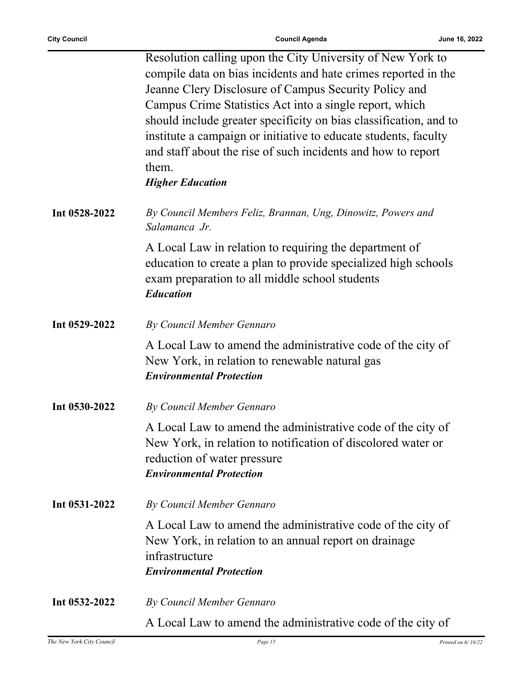Ĭ.

|               | Resolution calling upon the City University of New York to        |
|---------------|-------------------------------------------------------------------|
|               | compile data on bias incidents and hate crimes reported in the    |
|               | Jeanne Clery Disclosure of Campus Security Policy and             |
|               | Campus Crime Statistics Act into a single report, which           |
|               | should include greater specificity on bias classification, and to |
|               | institute a campaign or initiative to educate students, faculty   |
|               | and staff about the rise of such incidents and how to report      |
|               | them.                                                             |
|               | <b>Higher Education</b>                                           |
|               |                                                                   |
| Int 0528-2022 | By Council Members Feliz, Brannan, Ung, Dinowitz, Powers and      |
|               | Salamanca Jr.                                                     |
|               | A Local Law in relation to requiring the department of            |
|               |                                                                   |
|               | education to create a plan to provide specialized high schools    |
|               | exam preparation to all middle school students                    |
|               | <b>Education</b>                                                  |
| Int 0529-2022 | By Council Member Gennaro                                         |
|               | A Local Law to amend the administrative code of the city of       |
|               | New York, in relation to renewable natural gas                    |
|               | <b>Environmental Protection</b>                                   |
|               |                                                                   |
| Int 0530-2022 | By Council Member Gennaro                                         |
|               | A Local Law to amend the administrative code of the city of       |
|               | New York, in relation to notification of discolored water or      |
|               | reduction of water pressure                                       |
|               | <b>Environmental Protection</b>                                   |
|               |                                                                   |
| Int 0531-2022 | By Council Member Gennaro                                         |
|               | A Local Law to amend the administrative code of the city of       |
|               | New York, in relation to an annual report on drainage             |
|               | infrastructure                                                    |
|               | <b>Environmental Protection</b>                                   |
| Int 0532-2022 | By Council Member Gennaro                                         |
|               | A Local Law to amend the administrative code of the city of       |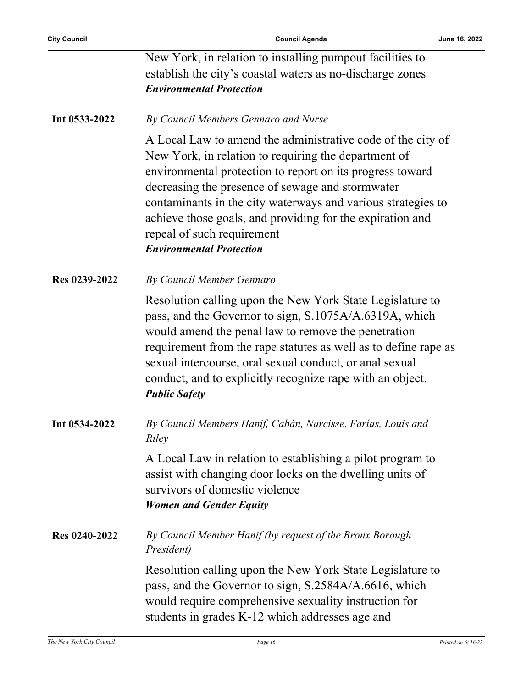| establish the city's coastal waters as no-discharge zones |
|-----------------------------------------------------------|
| <b>Environmental Protection</b>                           |

#### **Int 0533-2022** *By Council Members Gennaro and Nurse*

A Local Law to amend the administrative code of the city of New York, in relation to requiring the department of environmental protection to report on its progress toward decreasing the presence of sewage and stormwater contaminants in the city waterways and various strategies to achieve those goals, and providing for the expiration and repeal of such requirement *Environmental Protection*

**Res 0239-2022** *By Council Member Gennaro*

Resolution calling upon the New York State Legislature to pass, and the Governor to sign, S.1075A/A.6319A, which would amend the penal law to remove the penetration requirement from the rape statutes as well as to define rape as sexual intercourse, oral sexual conduct, or anal sexual conduct, and to explicitly recognize rape with an object. *Public Safety*

**Int 0534-2022** *By Council Members Hanif, Cabán, Narcisse, Farías, Louis and Riley*

> A Local Law in relation to establishing a pilot program to assist with changing door locks on the dwelling units of survivors of domestic violence *Women and Gender Equity*

**Res 0240-2022** *By Council Member Hanif (by request of the Bronx Borough President)*

> Resolution calling upon the New York State Legislature to pass, and the Governor to sign, S.2584A/A.6616, which would require comprehensive sexuality instruction for students in grades K-12 which addresses age and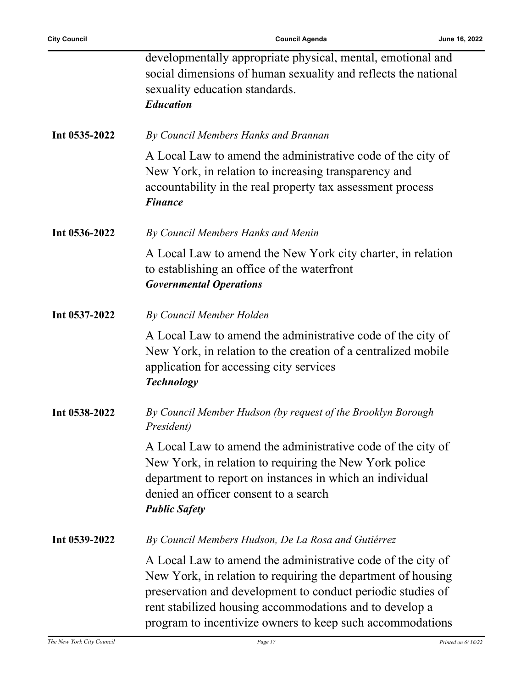|               | developmentally appropriate physical, mental, emotional and<br>social dimensions of human sexuality and reflects the national<br>sexuality education standards.<br><b>Education</b>                                                                                                                                |
|---------------|--------------------------------------------------------------------------------------------------------------------------------------------------------------------------------------------------------------------------------------------------------------------------------------------------------------------|
| Int 0535-2022 | By Council Members Hanks and Brannan                                                                                                                                                                                                                                                                               |
|               | A Local Law to amend the administrative code of the city of<br>New York, in relation to increasing transparency and<br>accountability in the real property tax assessment process<br><b>Finance</b>                                                                                                                |
| Int 0536-2022 | By Council Members Hanks and Menin                                                                                                                                                                                                                                                                                 |
|               | A Local Law to amend the New York city charter, in relation<br>to establishing an office of the waterfront<br><b>Governmental Operations</b>                                                                                                                                                                       |
| Int 0537-2022 | By Council Member Holden                                                                                                                                                                                                                                                                                           |
|               | A Local Law to amend the administrative code of the city of<br>New York, in relation to the creation of a centralized mobile<br>application for accessing city services<br><b>Technology</b>                                                                                                                       |
| Int 0538-2022 | By Council Member Hudson (by request of the Brooklyn Borough<br>President)                                                                                                                                                                                                                                         |
|               | A Local Law to amend the administrative code of the city of<br>New York, in relation to requiring the New York police<br>department to report on instances in which an individual<br>denied an officer consent to a search<br><b>Public Safety</b>                                                                 |
| Int 0539-2022 | By Council Members Hudson, De La Rosa and Gutiérrez                                                                                                                                                                                                                                                                |
|               | A Local Law to amend the administrative code of the city of<br>New York, in relation to requiring the department of housing<br>preservation and development to conduct periodic studies of<br>rent stabilized housing accommodations and to develop a<br>program to incentivize owners to keep such accommodations |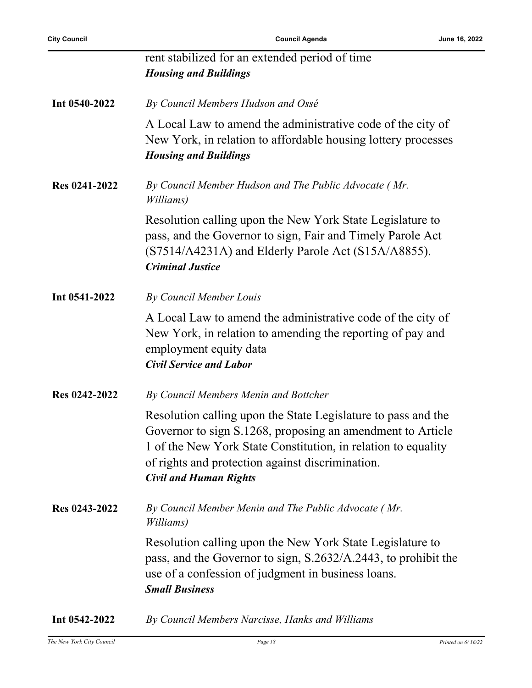|               | rent stabilized for an extended period of time<br><b>Housing and Buildings</b>                                                                                                                                                                                                    |
|---------------|-----------------------------------------------------------------------------------------------------------------------------------------------------------------------------------------------------------------------------------------------------------------------------------|
| Int 0540-2022 | By Council Members Hudson and Ossé                                                                                                                                                                                                                                                |
|               | A Local Law to amend the administrative code of the city of<br>New York, in relation to affordable housing lottery processes<br><b>Housing and Buildings</b>                                                                                                                      |
| Res 0241-2022 | By Council Member Hudson and The Public Advocate (Mr.<br>Williams)                                                                                                                                                                                                                |
|               | Resolution calling upon the New York State Legislature to<br>pass, and the Governor to sign, Fair and Timely Parole Act<br>(S7514/A4231A) and Elderly Parole Act (S15A/A8855).<br><b>Criminal Justice</b>                                                                         |
| Int 0541-2022 | By Council Member Louis                                                                                                                                                                                                                                                           |
|               | A Local Law to amend the administrative code of the city of<br>New York, in relation to amending the reporting of pay and<br>employment equity data<br><b>Civil Service and Labor</b>                                                                                             |
| Res 0242-2022 | By Council Members Menin and Bottcher                                                                                                                                                                                                                                             |
|               | Resolution calling upon the State Legislature to pass and the<br>Governor to sign S.1268, proposing an amendment to Article<br>1 of the New York State Constitution, in relation to equality<br>of rights and protection against discrimination.<br><b>Civil and Human Rights</b> |
| Res 0243-2022 | By Council Member Menin and The Public Advocate (Mr.<br>Williams)                                                                                                                                                                                                                 |
|               | Resolution calling upon the New York State Legislature to<br>pass, and the Governor to sign, S.2632/A.2443, to prohibit the<br>use of a confession of judgment in business loans.<br><b>Small Business</b>                                                                        |
|               |                                                                                                                                                                                                                                                                                   |

**Int 0542-2022** *By Council Members Narcisse, Hanks and Williams*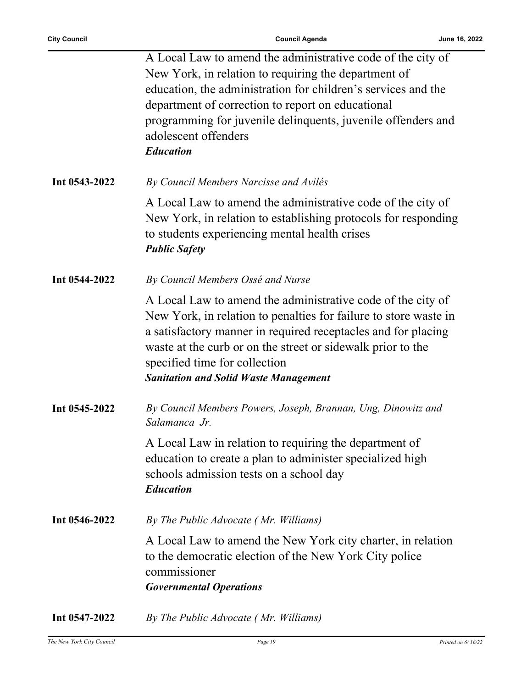j.

|               | A Local Law to amend the administrative code of the city of      |
|---------------|------------------------------------------------------------------|
|               | New York, in relation to requiring the department of             |
|               | education, the administration for children's services and the    |
|               | department of correction to report on educational                |
|               | programming for juvenile delinquents, juvenile offenders and     |
|               | adolescent offenders                                             |
|               | <b>Education</b>                                                 |
|               |                                                                  |
| Int 0543-2022 | By Council Members Narcisse and Avilés                           |
|               | A Local Law to amend the administrative code of the city of      |
|               | New York, in relation to establishing protocols for responding   |
|               | to students experiencing mental health crises                    |
|               | <b>Public Safety</b>                                             |
|               |                                                                  |
| Int 0544-2022 | By Council Members Ossé and Nurse                                |
|               | A Local Law to amend the administrative code of the city of      |
|               | New York, in relation to penalties for failure to store waste in |
|               | a satisfactory manner in required receptacles and for placing    |
|               | waste at the curb or on the street or sidewalk prior to the      |
|               | specified time for collection                                    |
|               | <b>Sanitation and Solid Waste Management</b>                     |
|               |                                                                  |
| Int 0545-2022 | By Council Members Powers, Joseph, Brannan, Ung, Dinowitz and    |
|               | Salamanca Jr.                                                    |
|               |                                                                  |
|               | A Local Law in relation to requiring the department of           |
|               | education to create a plan to administer specialized high        |
|               | schools admission tests on a school day                          |
|               | <b>Education</b>                                                 |
| Int 0546-2022 | By The Public Advocate (Mr. Williams)                            |
|               |                                                                  |
|               | A Local Law to amend the New York city charter, in relation      |
|               | to the democratic election of the New York City police           |
|               | commissioner                                                     |
|               | <b>Governmental Operations</b>                                   |
| Int 0547-2022 | By The Public Advocate (Mr. Williams)                            |
|               |                                                                  |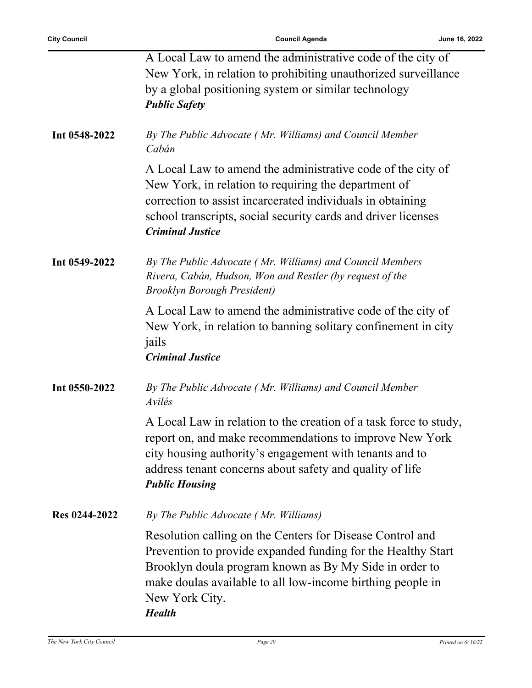|               | A Local Law to amend the administrative code of the city of<br>New York, in relation to prohibiting unauthorized surveillance<br>by a global positioning system or similar technology<br><b>Public Safety</b>                                                                        |
|---------------|--------------------------------------------------------------------------------------------------------------------------------------------------------------------------------------------------------------------------------------------------------------------------------------|
| Int 0548-2022 | By The Public Advocate (Mr. Williams) and Council Member<br>Cabán                                                                                                                                                                                                                    |
|               | A Local Law to amend the administrative code of the city of<br>New York, in relation to requiring the department of<br>correction to assist incarcerated individuals in obtaining<br>school transcripts, social security cards and driver licenses<br><b>Criminal Justice</b>        |
| Int 0549-2022 | By The Public Advocate (Mr. Williams) and Council Members<br>Rivera, Cabán, Hudson, Won and Restler (by request of the<br><b>Brooklyn Borough President)</b>                                                                                                                         |
|               | A Local Law to amend the administrative code of the city of<br>New York, in relation to banning solitary confinement in city<br>jails<br><b>Criminal Justice</b>                                                                                                                     |
| Int 0550-2022 | By The Public Advocate (Mr. Williams) and Council Member<br>Avilés                                                                                                                                                                                                                   |
|               | A Local Law in relation to the creation of a task force to study,<br>report on, and make recommendations to improve New York<br>city housing authority's engagement with tenants and to<br>address tenant concerns about safety and quality of life<br><b>Public Housing</b>         |
| Res 0244-2022 | By The Public Advocate (Mr. Williams)                                                                                                                                                                                                                                                |
|               | Resolution calling on the Centers for Disease Control and<br>Prevention to provide expanded funding for the Healthy Start<br>Brooklyn doula program known as By My Side in order to<br>make doulas available to all low-income birthing people in<br>New York City.<br><b>Health</b> |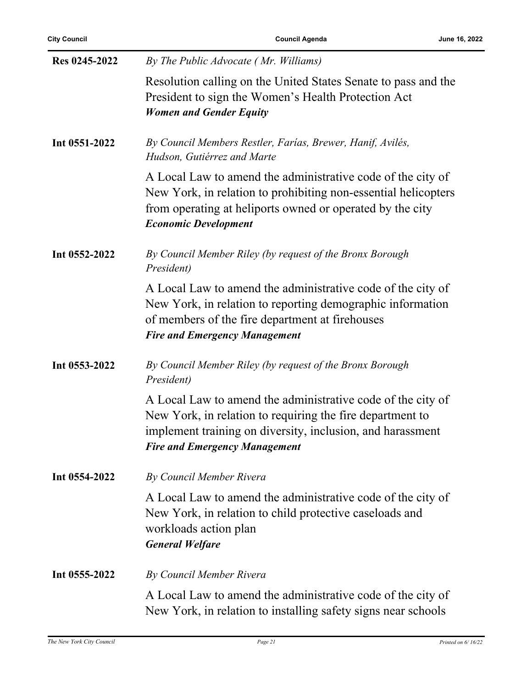| <b>City Council</b> | <b>Council Agenda</b>                                                                                                                                                                                                          | June 16, 2022 |
|---------------------|--------------------------------------------------------------------------------------------------------------------------------------------------------------------------------------------------------------------------------|---------------|
| Res 0245-2022       | By The Public Advocate (Mr. Williams)                                                                                                                                                                                          |               |
|                     | Resolution calling on the United States Senate to pass and the<br>President to sign the Women's Health Protection Act<br><b>Women and Gender Equity</b>                                                                        |               |
| Int 0551-2022       | By Council Members Restler, Farías, Brewer, Hanif, Avilés,<br>Hudson, Gutiérrez and Marte                                                                                                                                      |               |
|                     | A Local Law to amend the administrative code of the city of<br>New York, in relation to prohibiting non-essential helicopters<br>from operating at heliports owned or operated by the city<br><b>Economic Development</b>      |               |
| Int 0552-2022       | By Council Member Riley (by request of the Bronx Borough<br>President)                                                                                                                                                         |               |
|                     | A Local Law to amend the administrative code of the city of<br>New York, in relation to reporting demographic information<br>of members of the fire department at firehouses<br><b>Fire and Emergency Management</b>           |               |
| Int 0553-2022       | By Council Member Riley (by request of the Bronx Borough<br>President)                                                                                                                                                         |               |
|                     | A Local Law to amend the administrative code of the city of<br>New York, in relation to requiring the fire department to<br>implement training on diversity, inclusion, and harassment<br><b>Fire and Emergency Management</b> |               |
| Int 0554-2022       | By Council Member Rivera                                                                                                                                                                                                       |               |
|                     | A Local Law to amend the administrative code of the city of<br>New York, in relation to child protective caseloads and<br>workloads action plan<br><b>General Welfare</b>                                                      |               |
| Int 0555-2022       | By Council Member Rivera                                                                                                                                                                                                       |               |
|                     | A Local Law to amend the administrative code of the city of<br>New York, in relation to installing safety signs near schools                                                                                                   |               |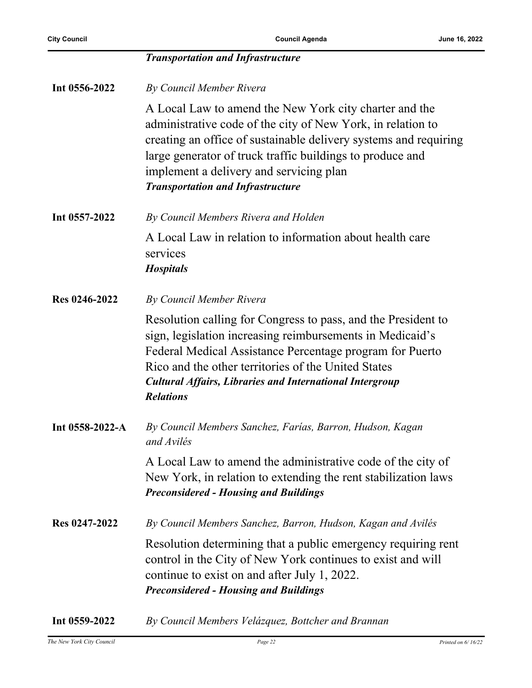|                 | <b>Transportation and Infrastructure</b>                                                                                                                                                                                                                                                                                                                         |
|-----------------|------------------------------------------------------------------------------------------------------------------------------------------------------------------------------------------------------------------------------------------------------------------------------------------------------------------------------------------------------------------|
| Int 0556-2022   | By Council Member Rivera                                                                                                                                                                                                                                                                                                                                         |
|                 | A Local Law to amend the New York city charter and the<br>administrative code of the city of New York, in relation to<br>creating an office of sustainable delivery systems and requiring<br>large generator of truck traffic buildings to produce and<br>implement a delivery and servicing plan<br><b>Transportation and Infrastructure</b>                    |
| Int 0557-2022   | By Council Members Rivera and Holden                                                                                                                                                                                                                                                                                                                             |
|                 | A Local Law in relation to information about health care<br>services<br><b>Hospitals</b>                                                                                                                                                                                                                                                                         |
|                 |                                                                                                                                                                                                                                                                                                                                                                  |
| Res 0246-2022   | By Council Member Rivera<br>Resolution calling for Congress to pass, and the President to<br>sign, legislation increasing reimbursements in Medicaid's<br>Federal Medical Assistance Percentage program for Puerto<br>Rico and the other territories of the United States<br><b>Cultural Affairs, Libraries and International Intergroup</b><br><b>Relations</b> |
| Int 0558-2022-A | By Council Members Sanchez, Farías, Barron, Hudson, Kagan<br>and Avilés                                                                                                                                                                                                                                                                                          |
|                 | A Local Law to amend the administrative code of the city of<br>New York, in relation to extending the rent stabilization laws<br><b>Preconsidered - Housing and Buildings</b>                                                                                                                                                                                    |
| Res 0247-2022   | By Council Members Sanchez, Barron, Hudson, Kagan and Avilés                                                                                                                                                                                                                                                                                                     |
|                 | Resolution determining that a public emergency requiring rent<br>control in the City of New York continues to exist and will<br>continue to exist on and after July 1, 2022.<br><b>Preconsidered - Housing and Buildings</b>                                                                                                                                     |

**Int 0559-2022** *By Council Members Velázquez, Bottcher and Brannan*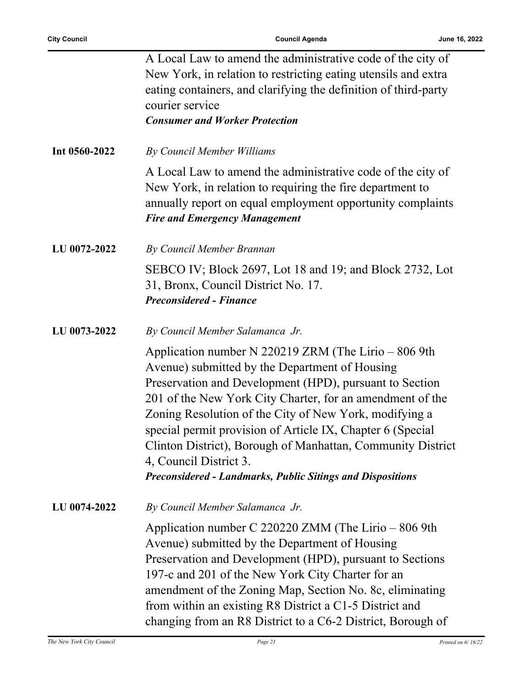|               | A Local Law to amend the administrative code of the city of<br>New York, in relation to restricting eating utensils and extra<br>eating containers, and clarifying the definition of third-party<br>courier service<br><b>Consumer and Worker Protection</b>                                                                                                                                                                                                                                                          |
|---------------|-----------------------------------------------------------------------------------------------------------------------------------------------------------------------------------------------------------------------------------------------------------------------------------------------------------------------------------------------------------------------------------------------------------------------------------------------------------------------------------------------------------------------|
| Int 0560-2022 | By Council Member Williams                                                                                                                                                                                                                                                                                                                                                                                                                                                                                            |
|               | A Local Law to amend the administrative code of the city of<br>New York, in relation to requiring the fire department to<br>annually report on equal employment opportunity complaints<br><b>Fire and Emergency Management</b>                                                                                                                                                                                                                                                                                        |
| LU 0072-2022  | By Council Member Brannan                                                                                                                                                                                                                                                                                                                                                                                                                                                                                             |
|               | SEBCO IV; Block 2697, Lot 18 and 19; and Block 2732, Lot<br>31, Bronx, Council District No. 17.<br><b>Preconsidered - Finance</b>                                                                                                                                                                                                                                                                                                                                                                                     |
| LU 0073-2022  | By Council Member Salamanca Jr.                                                                                                                                                                                                                                                                                                                                                                                                                                                                                       |
|               | Application number N 220219 ZRM (The Lirio $-806$ 9th<br>Avenue) submitted by the Department of Housing<br>Preservation and Development (HPD), pursuant to Section<br>201 of the New York City Charter, for an amendment of the<br>Zoning Resolution of the City of New York, modifying a<br>special permit provision of Article IX, Chapter 6 (Special<br>Clinton District), Borough of Manhattan, Community District<br>4, Council District 3.<br><b>Preconsidered - Landmarks, Public Sitings and Dispositions</b> |
| LU 0074-2022  | By Council Member Salamanca Jr.                                                                                                                                                                                                                                                                                                                                                                                                                                                                                       |
|               | Application number C 220220 ZMM (The Lirio $-806$ 9th<br>Avenue) submitted by the Department of Housing<br>Preservation and Development (HPD), pursuant to Sections<br>197-c and 201 of the New York City Charter for an<br>amendment of the Zoning Map, Section No. 8c, eliminating<br>from within an existing R8 District a C1-5 District and<br>changing from an R8 District to a C6-2 District, Borough of                                                                                                        |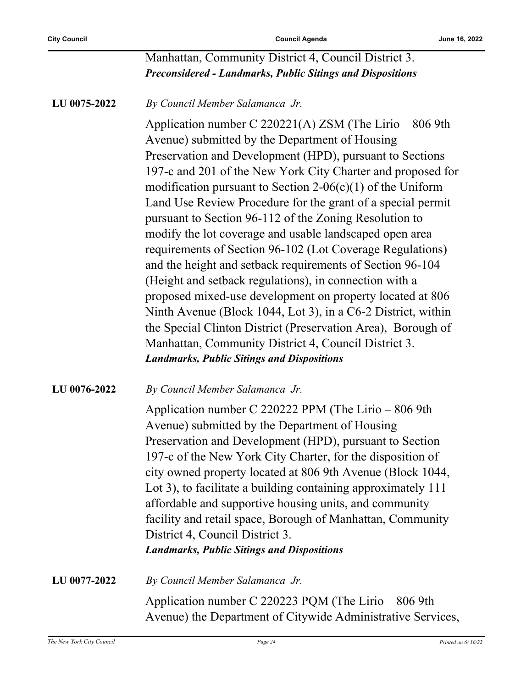#### Manhattan, Community District 4, Council District 3. *Preconsidered - Landmarks, Public Sitings and Dispositions*

#### **LU 0075-2022** *By Council Member Salamanca Jr.*

Application number C 220221(A) ZSM (The Lirio – 806 9th Avenue) submitted by the Department of Housing Preservation and Development (HPD), pursuant to Sections 197-c and 201 of the New York City Charter and proposed for modification pursuant to Section  $2\n-06(c)(1)$  of the Uniform Land Use Review Procedure for the grant of a special permit pursuant to Section 96-112 of the Zoning Resolution to modify the lot coverage and usable landscaped open area requirements of Section 96-102 (Lot Coverage Regulations) and the height and setback requirements of Section 96-104 (Height and setback regulations), in connection with a proposed mixed-use development on property located at 806 Ninth Avenue (Block 1044, Lot 3), in a C6-2 District, within the Special Clinton District (Preservation Area), Borough of Manhattan, Community District 4, Council District 3. *Landmarks, Public Sitings and Dispositions*

#### **LU 0076-2022** *By Council Member Salamanca Jr.*

Application number C 220222 PPM (The Lirio – 806 9th Avenue) submitted by the Department of Housing Preservation and Development (HPD), pursuant to Section 197-c of the New York City Charter, for the disposition of city owned property located at 806 9th Avenue (Block 1044, Lot 3), to facilitate a building containing approximately 111 affordable and supportive housing units, and community facility and retail space, Borough of Manhattan, Community District 4, Council District 3. *Landmarks, Public Sitings and Dispositions*

**LU 0077-2022** *By Council Member Salamanca Jr.* Application number C 220223 PQM (The Lirio – 806 9th Avenue) the Department of Citywide Administrative Services,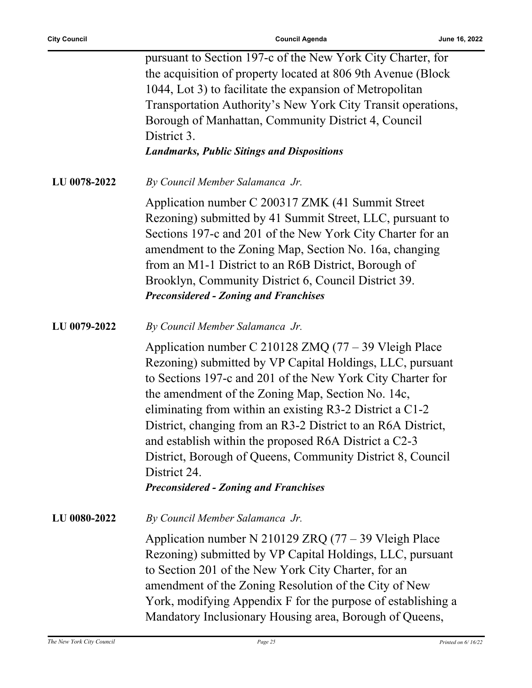|              | pursuant to Section 197-c of the New York City Charter, for<br>the acquisition of property located at 806 9th Avenue (Block<br>1044, Lot 3) to facilitate the expansion of Metropolitan<br>Transportation Authority's New York City Transit operations,<br>Borough of Manhattan, Community District 4, Council<br>District 3.<br><b>Landmarks, Public Sitings and Dispositions</b>                                                                                                                                                                         |
|--------------|------------------------------------------------------------------------------------------------------------------------------------------------------------------------------------------------------------------------------------------------------------------------------------------------------------------------------------------------------------------------------------------------------------------------------------------------------------------------------------------------------------------------------------------------------------|
| LU 0078-2022 | By Council Member Salamanca Jr.                                                                                                                                                                                                                                                                                                                                                                                                                                                                                                                            |
|              | Application number C 200317 ZMK (41 Summit Street<br>Rezoning) submitted by 41 Summit Street, LLC, pursuant to<br>Sections 197-c and 201 of the New York City Charter for an<br>amendment to the Zoning Map, Section No. 16a, changing<br>from an M1-1 District to an R6B District, Borough of<br>Brooklyn, Community District 6, Council District 39.<br><b>Preconsidered - Zoning and Franchises</b>                                                                                                                                                     |
| LU 0079-2022 | By Council Member Salamanca Jr.                                                                                                                                                                                                                                                                                                                                                                                                                                                                                                                            |
|              | Application number C 210128 ZMQ $(77 – 39$ Vleigh Place<br>Rezoning) submitted by VP Capital Holdings, LLC, pursuant<br>to Sections 197-c and 201 of the New York City Charter for<br>the amendment of the Zoning Map, Section No. 14c,<br>eliminating from within an existing R3-2 District a C1-2<br>District, changing from an R3-2 District to an R6A District,<br>and establish within the proposed R6A District a C2-3<br>District, Borough of Queens, Community District 8, Council<br>District 24.<br><b>Preconsidered - Zoning and Franchises</b> |
| LU 0080-2022 | By Council Member Salamanca Jr.                                                                                                                                                                                                                                                                                                                                                                                                                                                                                                                            |
|              | Application number N 210129 ZRQ $(77 – 39$ Vleigh Place<br>Rezoning) submitted by VP Capital Holdings, LLC, pursuant<br>to Section 201 of the New York City Charter, for an<br>amendment of the Zoning Resolution of the City of New<br>York, modifying Appendix F for the purpose of establishing a<br>Mandatory Inclusionary Housing area, Borough of Queens,                                                                                                                                                                                            |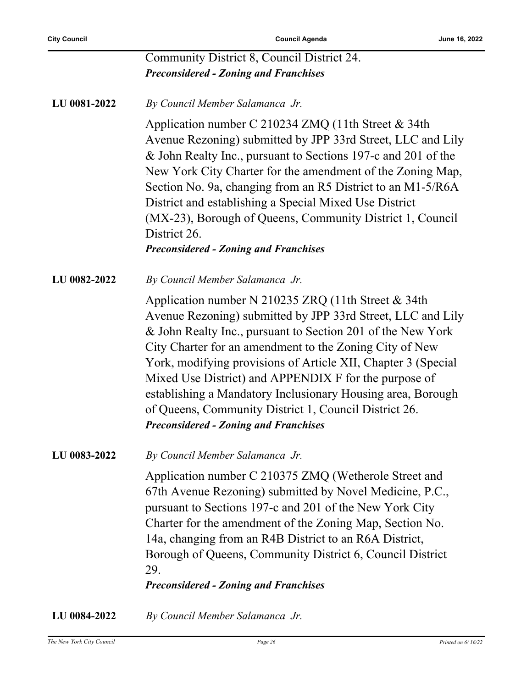|              | Community District 8, Council District 24.                                                                                                                                                                                                                                                                                                                                                                                                                                                                                                     |
|--------------|------------------------------------------------------------------------------------------------------------------------------------------------------------------------------------------------------------------------------------------------------------------------------------------------------------------------------------------------------------------------------------------------------------------------------------------------------------------------------------------------------------------------------------------------|
|              | <b>Preconsidered - Zoning and Franchises</b>                                                                                                                                                                                                                                                                                                                                                                                                                                                                                                   |
| LU 0081-2022 | By Council Member Salamanca Jr.                                                                                                                                                                                                                                                                                                                                                                                                                                                                                                                |
|              | Application number C 210234 ZMQ (11th Street & 34th<br>Avenue Rezoning) submitted by JPP 33rd Street, LLC and Lily<br>& John Realty Inc., pursuant to Sections 197-c and 201 of the<br>New York City Charter for the amendment of the Zoning Map,<br>Section No. 9a, changing from an R5 District to an M1-5/R6A<br>District and establishing a Special Mixed Use District<br>(MX-23), Borough of Queens, Community District 1, Council<br>District 26.<br><b>Preconsidered - Zoning and Franchises</b>                                        |
| LU 0082-2022 | By Council Member Salamanca Jr.                                                                                                                                                                                                                                                                                                                                                                                                                                                                                                                |
|              | Application number N 210235 ZRQ (11th Street & 34th<br>Avenue Rezoning) submitted by JPP 33rd Street, LLC and Lily<br>& John Realty Inc., pursuant to Section 201 of the New York<br>City Charter for an amendment to the Zoning City of New<br>York, modifying provisions of Article XII, Chapter 3 (Special<br>Mixed Use District) and APPENDIX F for the purpose of<br>establishing a Mandatory Inclusionary Housing area, Borough<br>of Queens, Community District 1, Council District 26.<br><b>Preconsidered - Zoning and Franchises</b> |
| LU 0083-2022 | By Council Member Salamanca Jr.                                                                                                                                                                                                                                                                                                                                                                                                                                                                                                                |
|              | Application number C 210375 ZMQ (Wetherole Street and<br>67th Avenue Rezoning) submitted by Novel Medicine, P.C.,<br>pursuant to Sections 197-c and 201 of the New York City<br>Charter for the amendment of the Zoning Map, Section No.<br>14a, changing from an R4B District to an R6A District,<br>Borough of Queens, Community District 6, Council District<br>29.<br><b>Preconsidered - Zoning and Franchises</b>                                                                                                                         |
| LU 0084-2022 | By Council Member Salamanca Jr.                                                                                                                                                                                                                                                                                                                                                                                                                                                                                                                |